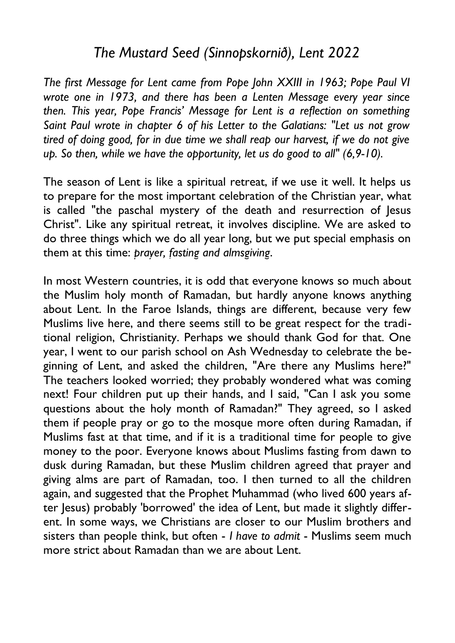## *The Mustard Seed (Sinnopskornið), Lent 2022*

*The first Message for Lent came from Pope John XXIII in 1963; Pope Paul VI wrote one in 1973, and there has been a Lenten Message every year since then. This year, Pope Francis' Message for Lent is a reflection on something Saint Paul wrote in chapter 6 of his Letter to the Galatians: "Let us not grow tired of doing good, for in due time we shall reap our harvest, if we do not give up. So then, while we have the opportunity, let us do good to all" (6,9-10).*

The season of Lent is like a spiritual retreat, if we use it well. It helps us to prepare for the most important celebration of the Christian year, what is called "the paschal mystery of the death and resurrection of Jesus Christ". Like any spiritual retreat, it involves discipline. We are asked to do three things which we do all year long, but we put special emphasis on them at this time: *prayer, fasting and almsgiving*.

In most Western countries, it is odd that everyone knows so much about the Muslim holy month of Ramadan, but hardly anyone knows anything about Lent. In the Faroe Islands, things are different, because very few Muslims live here, and there seems still to be great respect for the traditional religion, Christianity. Perhaps we should thank God for that. One year, I went to our parish school on Ash Wednesday to celebrate the beginning of Lent, and asked the children, "Are there any Muslims here?" The teachers looked worried; they probably wondered what was coming next! Four children put up their hands, and I said, "Can I ask you some questions about the holy month of Ramadan?" They agreed, so I asked them if people pray or go to the mosque more often during Ramadan, if Muslims fast at that time, and if it is a traditional time for people to give money to the poor. Everyone knows about Muslims fasting from dawn to dusk during Ramadan, but these Muslim children agreed that prayer and giving alms are part of Ramadan, too. I then turned to all the children again, and suggested that the Prophet Muhammad (who lived 600 years after Jesus) probably 'borrowed' the idea of Lent, but made it slightly different. In some ways, we Christians are closer to our Muslim brothers and sisters than people think, but often - *I have to admit* - Muslims seem much more strict about Ramadan than we are about Lent.